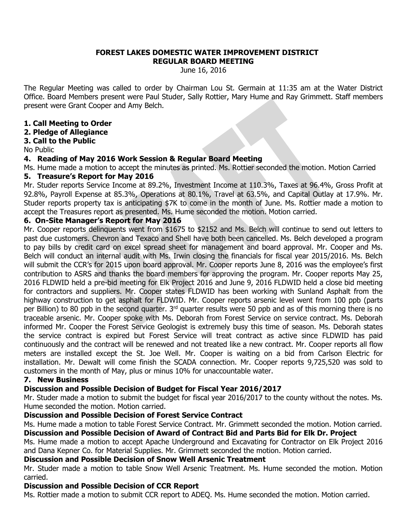#### **FOREST LAKES DOMESTIC WATER IMPROVEMENT DISTRICT REGULAR BOARD MEETING**

June 16, 2016

The Regular Meeting was called to order by Chairman Lou St. Germain at 11:35 am at the Water District Office. Board Members present were Paul Studer, Sally Rottier, Mary Hume and Ray Grimmett. Staff members present were Grant Cooper and Amy Belch.

# **1. Call Meeting to Order**

# **2. Pledge of Allegiance**

# **3. Call to the Public**

No Public

# **4. Reading of May 2016 Work Session & Regular Board Meeting**

Ms. Hume made a motion to accept the minutes as printed. Ms. Rottier seconded the motion. Motion Carried

# **5. Treasure's Report for May 2016**

Mr. Studer reports Service Income at 89.2%, Investment Income at 110.3%, Taxes at 96.4%, Gross Profit at 92.8%, Payroll Expense at 85.3%, Operations at 80.1%, Travel at 63.5%, and Capital Outlay at 17.9%. Mr. Studer reports property tax is anticipating \$7K to come in the month of June. Ms. Rottier made a motion to accept the Treasures report as presented. Ms. Hume seconded the motion. Motion carried.

# **6. On-Site Manager's Report for May 2016**

Mr. Cooper reports delinquents went from \$1675 to \$2152 and Ms. Belch will continue to send out letters to past due customers. Chevron and Texaco and Shell have both been cancelled. Ms. Belch developed a program to pay bills by credit card on excel spread sheet for management and board approval. Mr. Cooper and Ms. Belch will conduct an internal audit with Ms. Irwin closing the financials for fiscal year 2015/2016. Ms. Belch will submit the CCR's for 2015 upon board approval. Mr. Cooper reports June 8, 2016 was the employee's first contribution to ASRS and thanks the board members for approving the program. Mr. Cooper reports May 25, 2016 FLDWID held a pre-bid meeting for Elk Project 2016 and June 9, 2016 FLDWID held a close bid meeting for contractors and suppliers. Mr. Cooper states FLDWID has been working with Sunland Asphalt from the highway construction to get asphalt for FLDWID. Mr. Cooper reports arsenic level went from 100 ppb (parts per Billion) to 80 ppb in the second quarter. 3<sup>rd</sup> quarter results were 50 ppb and as of this morning there is no traceable arsenic. Mr. Cooper spoke with Ms. Deborah from Forest Service on service contract. Ms. Deborah informed Mr. Cooper the Forest Service Geologist is extremely busy this time of season. Ms. Deborah states the service contract is expired but Forest Service will treat contract as active since FLDWID has paid continuously and the contract will be renewed and not treated like a new contract. Mr. Cooper reports all flow meters are installed except the St. Joe Well. Mr. Cooper is waiting on a bid from Carlson Electric for installation. Mr. Dewalt will come finish the SCADA connection. Mr. Cooper reports 9,725,520 was sold to customers in the month of May, plus or minus 10% for unaccountable water.

# **7. New Business**

# **Discussion and Possible Decision of Budget for Fiscal Year 2016/2017**

Mr. Studer made a motion to submit the budget for fiscal year 2016/2017 to the county without the notes. Ms. Hume seconded the motion. Motion carried.

# **Discussion and Possible Decision of Forest Service Contract**

Ms. Hume made a motion to table Forest Service Contract. Mr. Grimmett seconded the motion. Motion carried. **Discussion and Possible Decision of Award of Contract Bid and Parts Bid for Elk Dr. Project**

Ms. Hume made a motion to accept Apache Underground and Excavating for Contractor on Elk Project 2016 and Dana Kepner Co. for Material Supplies. Mr. Grimmett seconded the motion. Motion carried.

#### **Discussion and Possible Decision of Snow Well Arsenic Treatment**

Mr. Studer made a motion to table Snow Well Arsenic Treatment. Ms. Hume seconded the motion. Motion carried.

# **Discussion and Possible Decision of CCR Report**

Ms. Rottier made a motion to submit CCR report to ADEQ. Ms. Hume seconded the motion. Motion carried.